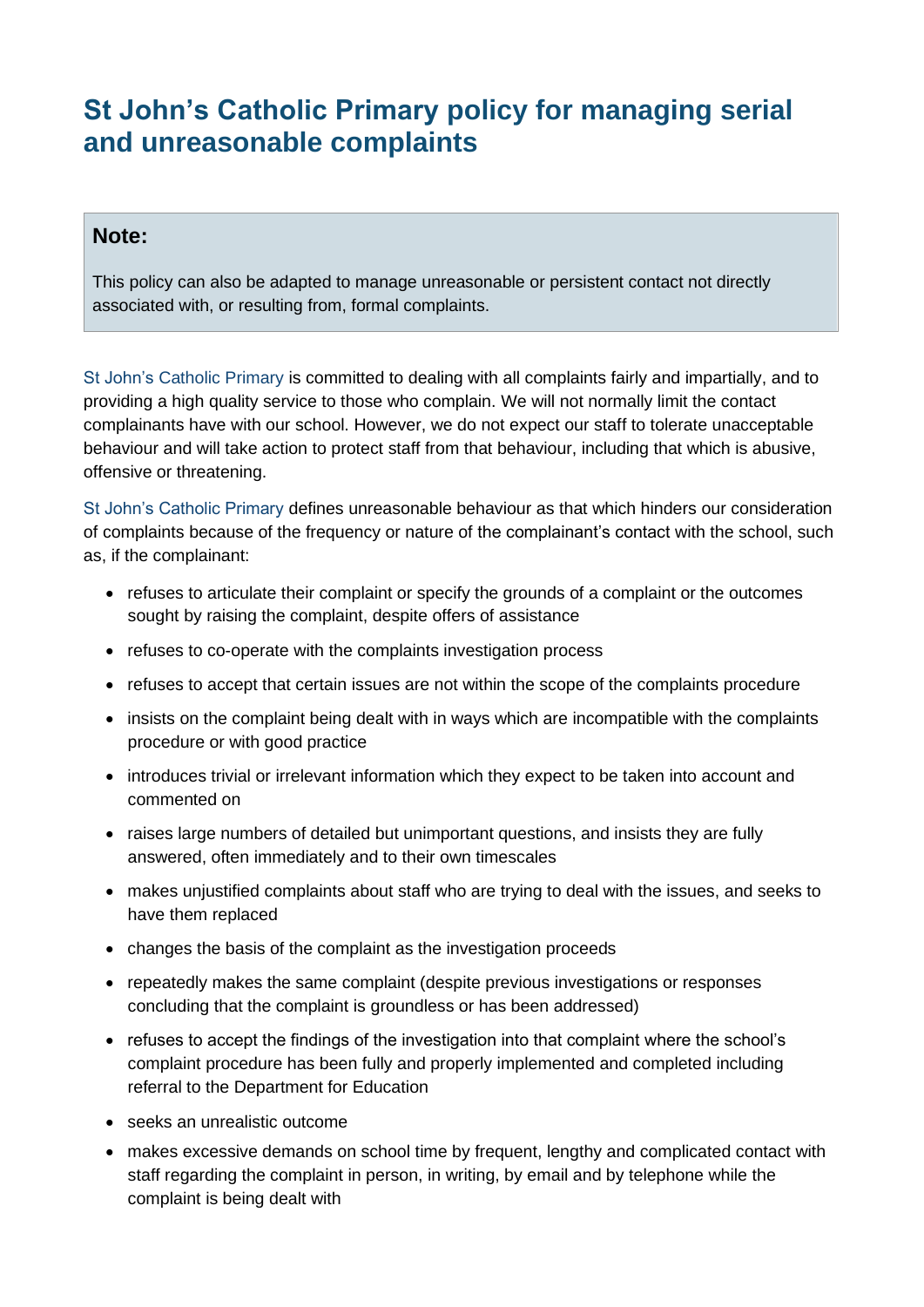## **St John's Catholic Primary policy for managing serial and unreasonable complaints**

## **Note:**

This policy can also be adapted to manage unreasonable or persistent contact not directly associated with, or resulting from, formal complaints.

St John's Catholic Primary is committed to dealing with all complaints fairly and impartially, and to providing a high quality service to those who complain. We will not normally limit the contact complainants have with our school. However, we do not expect our staff to tolerate unacceptable behaviour and will take action to protect staff from that behaviour, including that which is abusive, offensive or threatening.

St John's Catholic Primary defines unreasonable behaviour as that which hinders our consideration of complaints because of the frequency or nature of the complainant's contact with the school, such as, if the complainant:

- refuses to articulate their complaint or specify the grounds of a complaint or the outcomes sought by raising the complaint, despite offers of assistance
- refuses to co-operate with the complaints investigation process
- refuses to accept that certain issues are not within the scope of the complaints procedure
- insists on the complaint being dealt with in ways which are incompatible with the complaints procedure or with good practice
- introduces trivial or irrelevant information which they expect to be taken into account and commented on
- raises large numbers of detailed but unimportant questions, and insists they are fully answered, often immediately and to their own timescales
- makes unjustified complaints about staff who are trying to deal with the issues, and seeks to have them replaced
- changes the basis of the complaint as the investigation proceeds
- repeatedly makes the same complaint (despite previous investigations or responses concluding that the complaint is groundless or has been addressed)
- refuses to accept the findings of the investigation into that complaint where the school's complaint procedure has been fully and properly implemented and completed including referral to the Department for Education
- seeks an unrealistic outcome
- makes excessive demands on school time by frequent, lengthy and complicated contact with staff regarding the complaint in person, in writing, by email and by telephone while the complaint is being dealt with